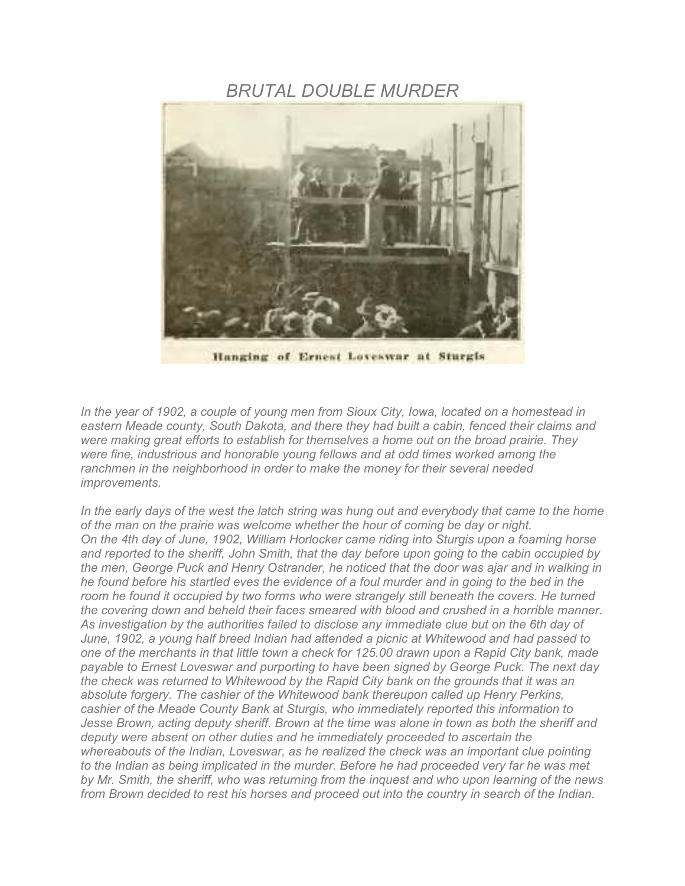## *BRUTAL DOUBLE MURDER*



Hanging of Ernest Loveswar at Sturgis

*In the year of 1902, a couple of young men from Sioux City, Iowa, located on a homestead in eastern Meade county, South Dakota, and there they had built a cabin, fenced their claims and were making great efforts to establish for themselves a home out on the broad prairie. They were fine, industrious and honorable young fellows and at odd times worked among the ranchmen in the neighborhood in order to make the money for their several needed improvements.* 

*In the early days of the west the latch string was hung out and everybody that came to the home of the man on the prairie was welcome whether the hour of coming be day or night. On the 4th day of June, 1902, William Horlocker came riding into Sturgis upon a foaming horse and reported to the sheriff, John Smith, that the day before upon going to the cabin occupied by the men, George Puck and Henry Ostrander, he noticed that the door was ajar and in walking in he found before his startled eves the evidence of a foul murder and in going to the bed in the*  room he found it occupied by two forms who were strangely still beneath the covers. He turned *the covering down and beheld their faces smeared with blood and crushed in a horrible manner. As investigation by the authorities failed to disclose any immediate clue but on the 6th day of June, 1902, a young half breed Indian had attended a picnic at Whitewood and had passed to one of the merchants in that little town a check for 125.00 drawn upon a Rapid City bank, made payable to Ernest Loveswar and purporting to have been signed by George Puck. The next day the check was returned to Whitewood by the Rapid City bank on the grounds that it was an absolute forgery. The cashier of the Whitewood bank thereupon called up Henry Perkins, cashier of the Meade County Bank at Sturgis, who immediately reported this information to Jesse Brown, acting deputy sheriff. Brown at the time was alone in town as both the sheriff and deputy were absent on other duties and he immediately proceeded to ascertain the whereabouts of the Indian, Loveswar, as he realized the check was an important clue pointing*  to the Indian as being implicated in the murder. Before he had proceeded very far he was met *by Mr. Smith, the sheriff, who was returning from the inquest and who upon learning of the news from Brown decided to rest his horses and proceed out into the country in search of the Indian.*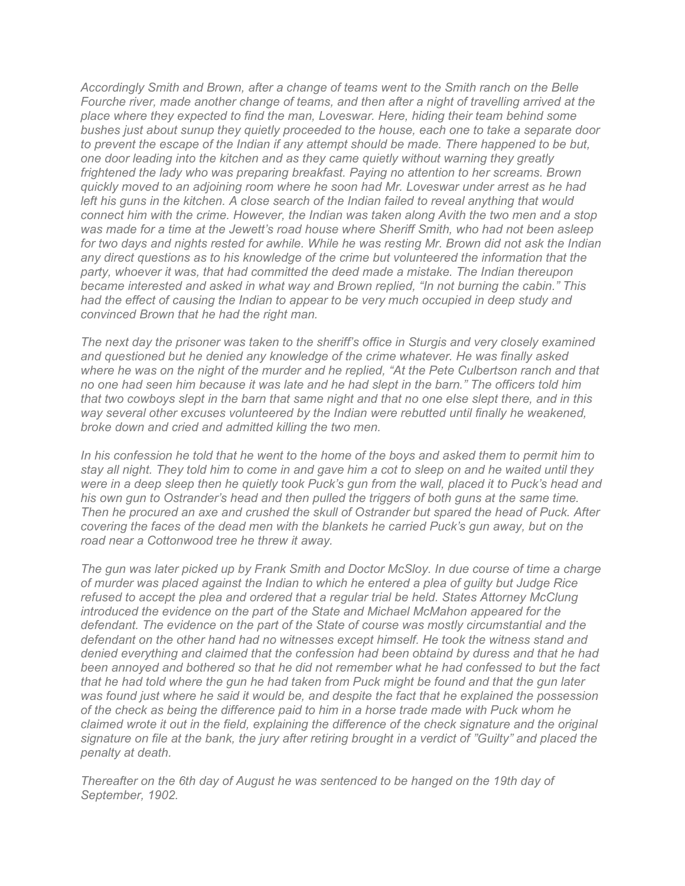*Accordingly Smith and Brown, after a change of teams went to the Smith ranch on the Belle Fourche river, made another change of teams, and then after a night of travelling arrived at the place where they expected to find the man, Loveswar. Here, hiding their team behind some bushes just about sunup they quietly proceeded to the house, each one to take a separate door to prevent the escape of the Indian if any attempt should be made. There happened to be but, one door leading into the kitchen and as they came quietly without warning they greatly frightened the lady who was preparing breakfast. Paying no attention to her screams. Brown quickly moved to an adjoining room where he soon had Mr. Loveswar under arrest as he had left his guns in the kitchen. A close search of the Indian failed to reveal anything that would connect him with the crime. However, the Indian was taken along Avith the two men and a stop was made for a time at the Jewett's road house where Sheriff Smith, who had not been asleep for two days and nights rested for awhile. While he was resting Mr. Brown did not ask the Indian any direct questions as to his knowledge of the crime but volunteered the information that the party, whoever it was, that had committed the deed made a mistake. The Indian thereupon became interested and asked in what way and Brown replied, "In not burning the cabin." This*  had the effect of causing the Indian to appear to be very much occupied in deep study and *convinced Brown that he had the right man.* 

*The next day the prisoner was taken to the sheriff's office in Sturgis and very closely examined and questioned but he denied any knowledge of the crime whatever. He was finally asked where he was on the night of the murder and he replied, "At the Pete Culbertson ranch and that no one had seen him because it was late and he had slept in the barn." The officers told him that two cowboys slept in the barn that same night and that no one else slept there, and in this way several other excuses volunteered by the Indian were rebutted until finally he weakened, broke down and cried and admitted killing the two men.* 

*In his confession he told that he went to the home of the boys and asked them to permit him to stay all night. They told him to come in and gave him a cot to sleep on and he waited until they were in a deep sleep then he quietly took Puck's gun from the wall, placed it to Puck's head and his own gun to Ostrander's head and then pulled the triggers of both guns at the same time. Then he procured an axe and crushed the skull of Ostrander but spared the head of Puck. After covering the faces of the dead men with the blankets he carried Puck's gun away, but on the road near a Cottonwood tree he threw it away.* 

*The gun was later picked up by Frank Smith and Doctor McSloy. In due course of time a charge of murder was placed against the Indian to which he entered a plea of guilty but Judge Rice refused to accept the plea and ordered that a regular trial be held. States Attorney McClung introduced the evidence on the part of the State and Michael McMahon appeared for the defendant. The evidence on the part of the State of course was mostly circumstantial and the defendant on the other hand had no witnesses except himself. He took the witness stand and denied everything and claimed that the confession had been obtaind by duress and that he had been annoyed and bothered so that he did not remember what he had confessed to but the fact that he had told where the gun he had taken from Puck might be found and that the gun later was found just where he said it would be, and despite the fact that he explained the possession of the check as being the difference paid to him in a horse trade made with Puck whom he claimed wrote it out in the field, explaining the difference of the check signature and the original signature on file at the bank, the jury after retiring brought in a verdict of "Guilty" and placed the penalty at death.* 

*Thereafter on the 6th day of August he was sentenced to be hanged on the 19th day of September, 1902.*